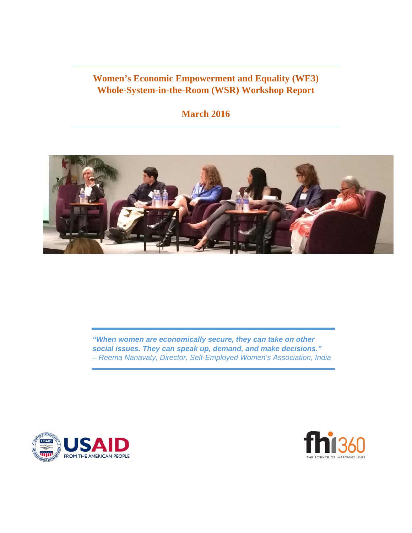# **Women's Economic Empowerment and Equality (WE3) Whole-System-in-the-Room (WSR) Workshop Report**

# **March 2016**



*"When women are economically secure, they can take on other social issues. They can speak up, demand, and make decisions." – Reema Nanavaty, Director, Self-Employed Women's Association, India* 



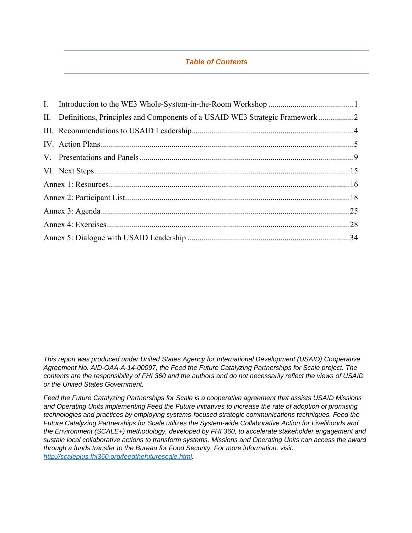### *Table of Contents*

*This report was produced under United States Agency for International Development (USAID) Cooperative Agreement No. AID-OAA-A-14-00097, the Feed the Future Catalyzing Partnerships for Scale project. The contents are the responsibility of FHI 360 and the authors and do not necessarily reflect the views of USAID or the United States Government.* 

*Feed the Future Catalyzing Partnerships for Scale is a cooperative agreement that assists USAID Missions and Operating Units implementing Feed the Future initiatives to increase the rate of adoption of promising technologies and practices by employing systems-focused strategic communications techniques. Feed the Future Catalyzing Partnerships for Scale utilizes the System-wide Collaborative Action for Livelihoods and the Environment (SCALE+) methodology, developed by FHI 360, to accelerate stakeholder engagement and sustain local collaborative actions to transform systems. Missions and Operating Units can access the award through a funds transfer to the Bureau for Food Security. For more information, visit: http://scaleplus.fhi360.org/feedthefuturescale.html.*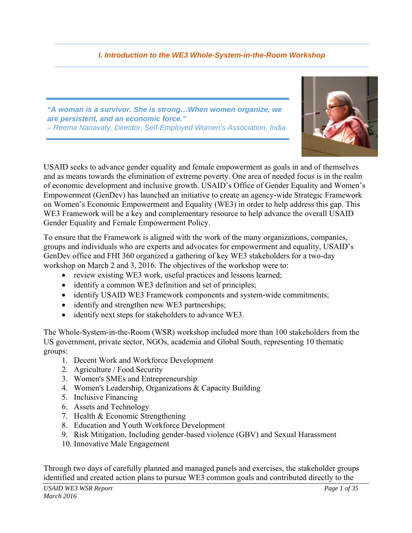# *I. Introduction to the WE3 Whole-System-in-the-Room Workshop*

*"A woman is a survivor. She is strong…When women organize, we are persistent, and an economic force." – Reema Nanavaty, Director, Self-Employed Women's Association, India* 



USAID seeks to advance gender equality and female empowerment as goals in and of themselves and as means towards the elimination of extreme poverty. One area of needed focus is in the realm of economic development and inclusive growth. USAID's Office of Gender Equality and Women's Empowerment (GenDev) has launched an initiative to create an agency-wide Strategic Framework on Women's Economic Empowerment and Equality (WE3) in order to help address this gap. This WE3 Framework will be a key and complementary resource to help advance the overall USAID Gender Equality and Female Empowerment Policy.

To ensure that the Framework is aligned with the work of the many organizations, companies, groups and individuals who are experts and advocates for empowerment and equality, USAID's GenDev office and FHI 360 organized a gathering of key WE3 stakeholders for a two-day workshop on March 2 and 3, 2016. The objectives of the workshop were to:

- review existing WE3 work, useful practices and lessons learned;
- identify a common WE3 definition and set of principles;
- identify USAID WE3 Framework components and system-wide commitments;
- identify and strengthen new WE3 partnerships;
- identify next steps for stakeholders to advance WE3.

The Whole-System-in-the-Room (WSR) workshop included more than 100 stakeholders from the US government, private sector, NGOs, academia and Global South, representing 10 thematic groups:

- 1. Decent Work and Workforce Development
- 2. Agriculture / Food Security
- 3. Women's SMEs and Entrepreneurship
- 4. Women's Leadership, Organizations & Capacity Building
- 5. Inclusive Financing
- 6. Assets and Technology
- 7. Health & Economic Strengthening
- 8. Education and Youth Workforce Development
- 9. Risk Mitigation, Including gender-based violence (GBV) and Sexual Harassment
- 10. Innovative Male Engagement

Through two days of carefully planned and managed panels and exercises, the stakeholder groups identified and created action plans to pursue WE3 common goals and contributed directly to the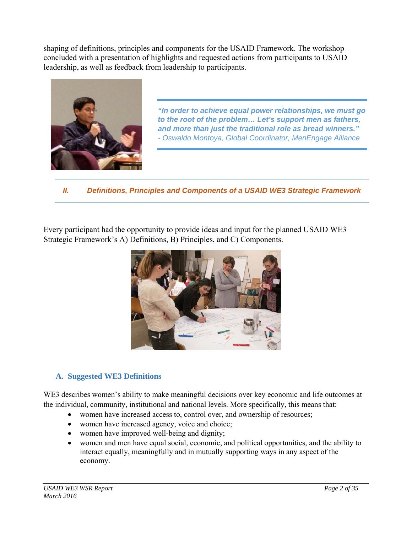shaping of definitions, principles and components for the USAID Framework. The workshop concluded with a presentation of highlights and requested actions from participants to USAID leadership, as well as feedback from leadership to participants.



*"In order to achieve equal power relationships, we must go to the root of the problem… Let's support men as fathers, and more than just the traditional role as bread winners." - Oswaldo Montoya, Global Coordinator, MenEngage Alliance* 

*II. Definitions, Principles and Components of a USAID WE3 Strategic Framework* 

Every participant had the opportunity to provide ideas and input for the planned USAID WE3 Strategic Framework's A) Definitions, B) Principles, and C) Components.



# **A. Suggested WE3 Definitions**

WE3 describes women's ability to make meaningful decisions over key economic and life outcomes at the individual, community, institutional and national levels. More specifically, this means that:

- women have increased access to, control over, and ownership of resources;
- women have increased agency, voice and choice;
- women have improved well-being and dignity;
- women and men have equal social, economic, and political opportunities, and the ability to interact equally, meaningfully and in mutually supporting ways in any aspect of the economy.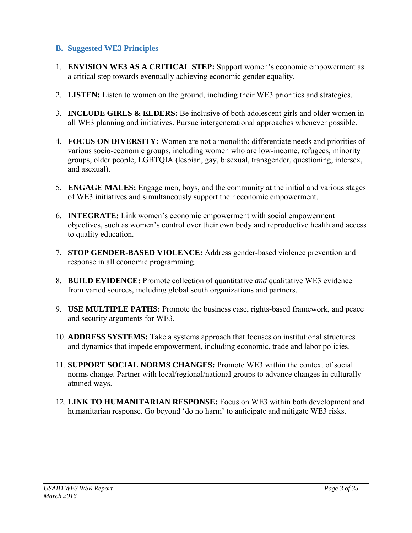### **B. Suggested WE3 Principles**

- 1. **ENVISION WE3 AS A CRITICAL STEP:** Support women's economic empowerment as a critical step towards eventually achieving economic gender equality.
- 2. **LISTEN:** Listen to women on the ground, including their WE3 priorities and strategies.
- 3. **INCLUDE GIRLS & ELDERS:** Be inclusive of both adolescent girls and older women in all WE3 planning and initiatives. Pursue intergenerational approaches whenever possible.
- 4. **FOCUS ON DIVERSITY:** Women are not a monolith: differentiate needs and priorities of various socio-economic groups, including women who are low-income, refugees, minority groups, older people, LGBTQIA (lesbian, gay, bisexual, transgender, questioning, intersex, and asexual).
- 5. **ENGAGE MALES:** Engage men, boys, and the community at the initial and various stages of WE3 initiatives and simultaneously support their economic empowerment.
- 6. **INTEGRATE:** Link women's economic empowerment with social empowerment objectives, such as women's control over their own body and reproductive health and access to quality education.
- 7. **STOP GENDER-BASED VIOLENCE:** Address gender-based violence prevention and response in all economic programming.
- 8. **BUILD EVIDENCE:** Promote collection of quantitative *and* qualitative WE3 evidence from varied sources, including global south organizations and partners.
- 9. **USE MULTIPLE PATHS:** Promote the business case, rights-based framework, and peace and security arguments for WE3.
- 10. **ADDRESS SYSTEMS:** Take a systems approach that focuses on institutional structures and dynamics that impede empowerment, including economic, trade and labor policies.
- 11. **SUPPORT SOCIAL NORMS CHANGES:** Promote WE3 within the context of social norms change. Partner with local/regional/national groups to advance changes in culturally attuned ways.
- 12. **LINK TO HUMANITARIAN RESPONSE:** Focus on WE3 within both development and humanitarian response. Go beyond 'do no harm' to anticipate and mitigate WE3 risks.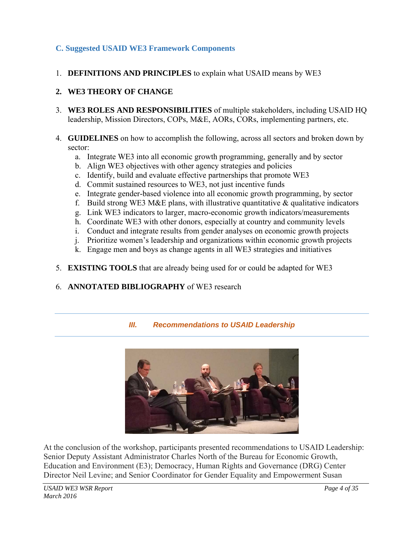# **C. Suggested USAID WE3 Framework Components**

1. **DEFINITIONS AND PRINCIPLES** to explain what USAID means by WE3

## **2. WE3 THEORY OF CHANGE**

3. **WE3 ROLES AND RESPONSIBILITIES** of multiple stakeholders, including USAID HQ leadership, Mission Directors, COPs, M&E, AORs, CORs, implementing partners, etc.

### 4. **GUIDELINES** on how to accomplish the following, across all sectors and broken down by sector:

- a. Integrate WE3 into all economic growth programming, generally and by sector
- b. Align WE3 objectives with other agency strategies and policies
- c. Identify, build and evaluate effective partnerships that promote WE3
- d. Commit sustained resources to WE3, not just incentive funds
- e. Integrate gender-based violence into all economic growth programming, by sector
- f. Build strong WE3 M&E plans, with illustrative quantitative  $\&$  qualitative indicators
- g. Link WE3 indicators to larger, macro-economic growth indicators/measurements
- h. Coordinate WE3 with other donors, especially at country and community levels
- i. Conduct and integrate results from gender analyses on economic growth projects
- j. Prioritize women's leadership and organizations within economic growth projects
- k. Engage men and boys as change agents in all WE3 strategies and initiatives
- 5. **EXISTING TOOLS** that are already being used for or could be adapted for WE3
- 6. **ANNOTATED BIBLIOGRAPHY** of WE3 research

### *III. Recommendations to USAID Leadership*



At the conclusion of the workshop, participants presented recommendations to USAID Leadership: Senior Deputy Assistant Administrator Charles North of the Bureau for Economic Growth, Education and Environment (E3); Democracy, Human Rights and Governance (DRG) Center Director Neil Levine; and Senior Coordinator for Gender Equality and Empowerment Susan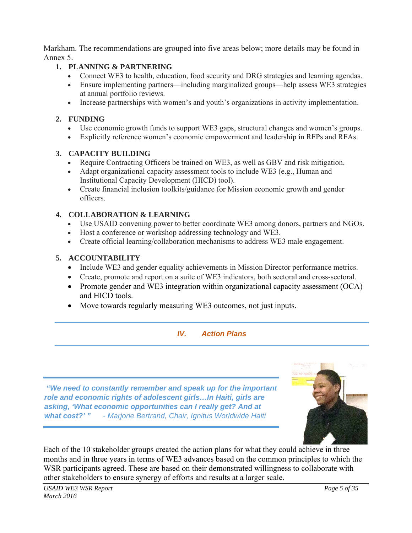Markham. The recommendations are grouped into five areas below; more details may be found in Annex 5.

# **1. PLANNING & PARTNERING**

- Connect WE3 to health, education, food security and DRG strategies and learning agendas.
- Ensure implementing partners—including marginalized groups—help assess WE3 strategies at annual portfolio reviews.
- Increase partnerships with women's and youth's organizations in activity implementation.

# **2. FUNDING**

- Use economic growth funds to support WE3 gaps, structural changes and women's groups.
- Explicitly reference women's economic empowerment and leadership in RFPs and RFAs.

### **3. CAPACITY BUILDING**

- Require Contracting Officers be trained on WE3, as well as GBV and risk mitigation.
- Adapt organizational capacity assessment tools to include WE3 (e.g., Human and Institutional Capacity Development (HICD) tool).
- Create financial inclusion toolkits/guidance for Mission economic growth and gender officers.

### **4. COLLABORATION & LEARNING**

- Use USAID convening power to better coordinate WE3 among donors, partners and NGOs.
- Host a conference or workshop addressing technology and WE3.
- Create official learning/collaboration mechanisms to address WE3 male engagement.

### **5. ACCOUNTABILITY**

- Include WE3 and gender equality achievements in Mission Director performance metrics.
- Create, promote and report on a suite of WE3 indicators, both sectoral and cross-sectoral.
- Promote gender and WE3 integration within organizational capacity assessment (OCA) and HICD tools.
- Move towards regularly measuring WE3 outcomes, not just inputs.

# *IV. Action Plans*

 *"We need to constantly remember and speak up for the important role and economic rights of adolescent girls…In Haiti, girls are asking, 'What economic opportunities can I really get? And at what cost?' " - Marjorie Bertrand, Chair, Ignitus Worldwide Haiti* 



Each of the 10 stakeholder groups created the action plans for what they could achieve in three months and in three years in terms of WE3 advances based on the common principles to which the WSR participants agreed. These are based on their demonstrated willingness to collaborate with other stakeholders to ensure synergy of efforts and results at a larger scale.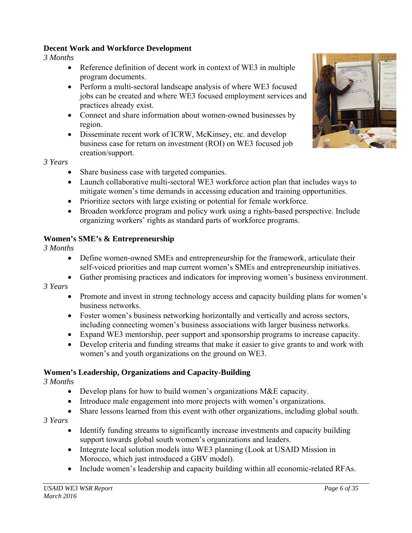### **Decent Work and Workforce Development**

*3 Months* 

- Reference definition of decent work in context of WE3 in multiple program documents.
- Perform a multi-sectoral landscape analysis of where WE3 focused jobs can be created and where WE3 focused employment services and practices already exist.
- Connect and share information about women-owned businesses by region.
- Disseminate recent work of ICRW, McKinsey, etc. and develop business case for return on investment (ROI) on WE3 focused job creation/support.



*3 Years* 

- Share business case with targeted companies.
- Launch collaborative multi-sectoral WE3 workforce action plan that includes ways to mitigate women's time demands in accessing education and training opportunities.
- Prioritize sectors with large existing or potential for female workforce.
- Broaden workforce program and policy work using a rights-based perspective. Include organizing workers' rights as standard parts of workforce programs.

# **Women's SME's & Entrepreneurship**

*3 Months* 

- Define women-owned SMEs and entrepreneurship for the framework, articulate their self-voiced priorities and map current women's SMEs and entrepreneurship initiatives.
- Gather promising practices and indicators for improving women's business environment.

*3 Years* 

- Promote and invest in strong technology access and capacity building plans for women's business networks.
- Foster women's business networking horizontally and vertically and across sectors, including connecting women's business associations with larger business networks.
- Expand WE3 mentorship, peer support and sponsorship programs to increase capacity.
- Develop criteria and funding streams that make it easier to give grants to and work with women's and youth organizations on the ground on WE3.

# **Women's Leadership, Organizations and Capacity-Building**

*3 Months* 

- Develop plans for how to build women's organizations M&E capacity.
- Introduce male engagement into more projects with women's organizations.
- Share lessons learned from this event with other organizations, including global south.

*3 Years* 

- Identify funding streams to significantly increase investments and capacity building support towards global south women's organizations and leaders.
- Integrate local solution models into WE3 planning (Look at USAID Mission in Morocco, which just introduced a GBV model).
- Include women's leadership and capacity building within all economic-related RFAs.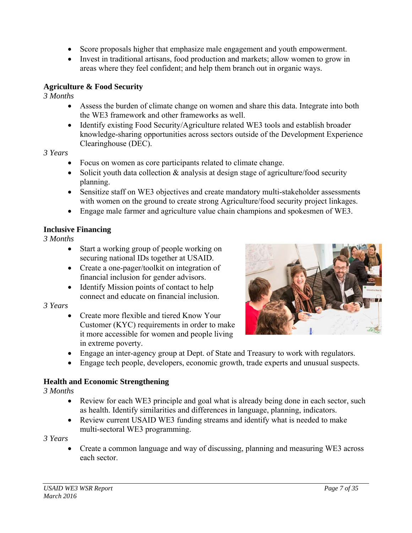- Score proposals higher that emphasize male engagement and youth empowerment.
- Invest in traditional artisans, food production and markets; allow women to grow in areas where they feel confident; and help them branch out in organic ways.

## **Agriculture & Food Security**

*3 Months* 

- Assess the burden of climate change on women and share this data. Integrate into both the WE3 framework and other frameworks as well.
- Identify existing Food Security/Agriculture related WE3 tools and establish broader knowledge-sharing opportunities across sectors outside of the Development Experience Clearinghouse (DEC).

### *3 Years*

- Focus on women as core participants related to climate change.
- Solicit youth data collection  $\&$  analysis at design stage of agriculture/food security planning.
- Sensitize staff on WE3 objectives and create mandatory multi-stakeholder assessments with women on the ground to create strong Agriculture/food security project linkages.
- Engage male farmer and agriculture value chain champions and spokesmen of WE3.

# **Inclusive Financing**

*3 Months* 

- Start a working group of people working on securing national IDs together at USAID.
- Create a one-pager/toolkit on integration of financial inclusion for gender advisors.
- Identify Mission points of contact to help connect and educate on financial inclusion.

### *3 Years*

• Create more flexible and tiered Know Your Customer (KYC) requirements in order to make it more accessible for women and people living in extreme poverty.



- Engage an inter-agency group at Dept. of State and Treasury to work with regulators.
- Engage tech people, developers, economic growth, trade experts and unusual suspects.

# **Health and Economic Strengthening**

*3 Months* 

- Review for each WE3 principle and goal what is already being done in each sector, such as health. Identify similarities and differences in language, planning, indicators.
- Review current USAID WE3 funding streams and identify what is needed to make multi-sectoral WE3 programming.

### *3 Years*

 Create a common language and way of discussing, planning and measuring WE3 across each sector.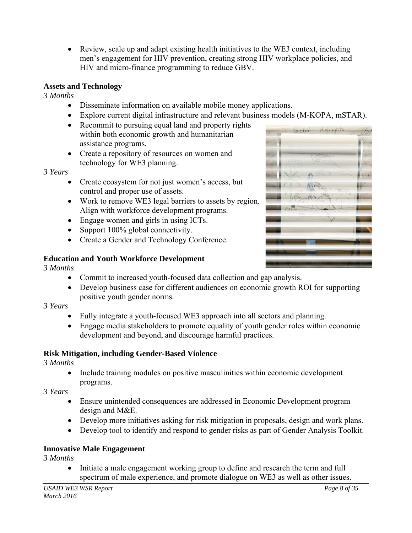Review, scale up and adapt existing health initiatives to the WE3 context, including men's engagement for HIV prevention, creating strong HIV workplace policies, and HIV and micro-finance programming to reduce GBV.

# **Assets and Technology**

*3 Months* 

- Disseminate information on available mobile money applications.
- Explore current digital infrastructure and relevant business models (M-KOPA, mSTAR).
- Recommit to pursuing equal land and property rights within both economic growth and humanitarian assistance programs.
- Create a repository of resources on women and technology for WE3 planning.

*3 Years* 

- Create ecosystem for not just women's access, but control and proper use of assets.
- Work to remove WE3 legal barriers to assets by region. Align with workforce development programs.
- Engage women and girls in using ICTs.
- Support 100% global connectivity.
- Create a Gender and Technology Conference.

# **Education and Youth Workforce Development**

*3 Months* 

- Commit to increased youth-focused data collection and gap analysis.
- Develop business case for different audiences on economic growth ROI for supporting positive youth gender norms.

# *3 Years*

- Fully integrate a youth-focused WE3 approach into all sectors and planning.
- Engage media stakeholders to promote equality of youth gender roles within economic development and beyond, and discourage harmful practices.

# **Risk Mitigation, including Gender-Based Violence**

*3 Months* 

 Include training modules on positive masculinities within economic development programs.

*3 Years* 

- Ensure unintended consequences are addressed in Economic Development program design and M&E.
- Develop more initiatives asking for risk mitigation in proposals, design and work plans.
- Develop tool to identify and respond to gender risks as part of Gender Analysis Toolkit.

# **Innovative Male Engagement**

*3 Months* 

 Initiate a male engagement working group to define and research the term and full spectrum of male experience, and promote dialogue on WE3 as well as other issues.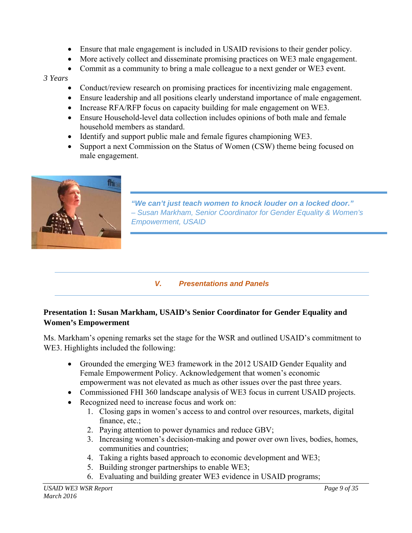- Ensure that male engagement is included in USAID revisions to their gender policy.
- More actively collect and disseminate promising practices on WE3 male engagement.
- Commit as a community to bring a male colleague to a next gender or WE3 event.

### *3 Years*

- Conduct/review research on promising practices for incentivizing male engagement.
- Ensure leadership and all positions clearly understand importance of male engagement.
- Increase RFA/RFP focus on capacity building for male engagement on WE3.
- Ensure Household-level data collection includes opinions of both male and female household members as standard.
- Identify and support public male and female figures championing WE3.
- Support a next Commission on the Status of Women (CSW) theme being focused on male engagement.



*"We can't just teach women to knock louder on a locked door." – Susan Markham, Senior Coordinator for Gender Equality & Women's Empowerment, USAID* 

# *V. Presentations and Panels*

# **Presentation 1: Susan Markham, USAID's Senior Coordinator for Gender Equality and Women's Empowerment**

Ms. Markham's opening remarks set the stage for the WSR and outlined USAID's commitment to WE3. Highlights included the following:

- Grounded the emerging WE3 framework in the 2012 USAID Gender Equality and Female Empowerment Policy. Acknowledgement that women's economic empowerment was not elevated as much as other issues over the past three years.
- Commissioned FHI 360 landscape analysis of WE3 focus in current USAID projects.
- Recognized need to increase focus and work on:
	- 1. Closing gaps in women's access to and control over resources, markets, digital finance, etc.;
	- 2. Paying attention to power dynamics and reduce GBV;
	- 3. Increasing women's decision-making and power over own lives, bodies, homes, communities and countries;
	- 4. Taking a rights based approach to economic development and WE3;
	- 5. Building stronger partnerships to enable WE3;
	- 6. Evaluating and building greater WE3 evidence in USAID programs;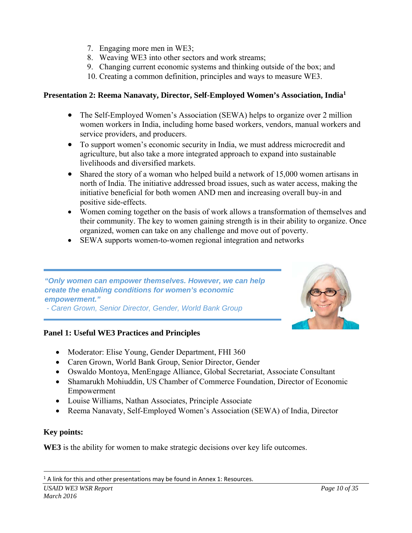- 7. Engaging more men in WE3;
- 8. Weaving WE3 into other sectors and work streams;
- 9. Changing current economic systems and thinking outside of the box; and
- 10. Creating a common definition, principles and ways to measure WE3.

### **Presentation 2: Reema Nanavaty, Director, Self-Employed Women's Association, India1**

- The Self-Employed Women's Association (SEWA) helps to organize over 2 million women workers in India, including home based workers, vendors, manual workers and service providers, and producers.
- To support women's economic security in India, we must address microcredit and agriculture, but also take a more integrated approach to expand into sustainable livelihoods and diversified markets.
- Shared the story of a woman who helped build a network of 15,000 women artisans in north of India. The initiative addressed broad issues, such as water access, making the initiative beneficial for both women AND men and increasing overall buy-in and positive side-effects.
- Women coming together on the basis of work allows a transformation of themselves and their community. The key to women gaining strength is in their ability to organize. Once organized, women can take on any challenge and move out of poverty.
- SEWA supports women-to-women regional integration and networks

*"Only women can empower themselves. However, we can help create the enabling conditions for women's economic empowerment."* 

*- Caren Grown, Senior Director, Gender, World Bank Group* 

# **Panel 1: Useful WE3 Practices and Principles**

- Moderator: Elise Young, Gender Department, FHI 360
- Caren Grown, World Bank Group, Senior Director, Gender
- Oswaldo Montoya, MenEngage Alliance, Global Secretariat, Associate Consultant
- Shamarukh Mohiuddin, US Chamber of Commerce Foundation, Director of Economic Empowerment
- Louise Williams, Nathan Associates, Principle Associate
- Reema Nanavaty, Self-Employed Women's Association (SEWA) of India, Director

# **Key points:**

**WE3** is the ability for women to make strategic decisions over key life outcomes.

 $1$  A link for this and other presentations may be found in Annex 1: Resources.

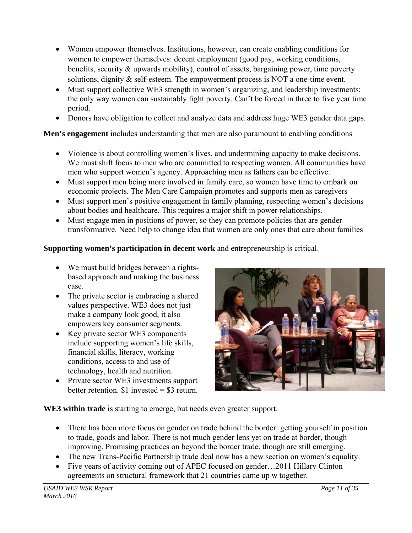- Women empower themselves. Institutions, however, can create enabling conditions for women to empower themselves: decent employment (good pay, working conditions, benefits, security & upwards mobility), control of assets, bargaining power, time poverty solutions, dignity  $\&$  self-esteem. The empowerment process is NOT a one-time event.
- Must support collective WE3 strength in women's organizing, and leadership investments: the only way women can sustainably fight poverty. Can't be forced in three to five year time period.
- Donors have obligation to collect and analyze data and address huge WE3 gender data gaps.

**Men's engagement** includes understanding that men are also paramount to enabling conditions

- Violence is about controlling women's lives, and undermining capacity to make decisions. We must shift focus to men who are committed to respecting women. All communities have men who support women's agency. Approaching men as fathers can be effective.
- Must support men being more involved in family care, so women have time to embark on economic projects. The Men Care Campaign promotes and supports men as caregivers
- Must support men's positive engagement in family planning, respecting women's decisions about bodies and healthcare. This requires a major shift in power relationships.
- Must engage men in positions of power, so they can promote policies that are gender transformative. Need help to change idea that women are only ones that care about families

# **Supporting women's participation in decent work** and entrepreneurship is critical.

- We must build bridges between a rightsbased approach and making the business case.
- The private sector is embracing a shared values perspective. WE3 does not just make a company look good, it also empowers key consumer segments.
- Key private sector WE3 components include supporting women's life skills, financial skills, literacy, working conditions, access to and use of technology, health and nutrition.
- Private sector WE3 investments support better retention.  $$1$  invested =  $$3$  return.



**WE3 within trade** is starting to emerge, but needs even greater support.

- There has been more focus on gender on trade behind the border: getting yourself in position to trade, goods and labor. There is not much gender lens yet on trade at border, though improving. Promising practices on beyond the border trade, though are still emerging.
- The new Trans-Pacific Partnership trade deal now has a new section on women's equality.
- Five years of activity coming out of APEC focused on gender...2011 Hillary Clinton agreements on structural framework that 21 countries came up w together.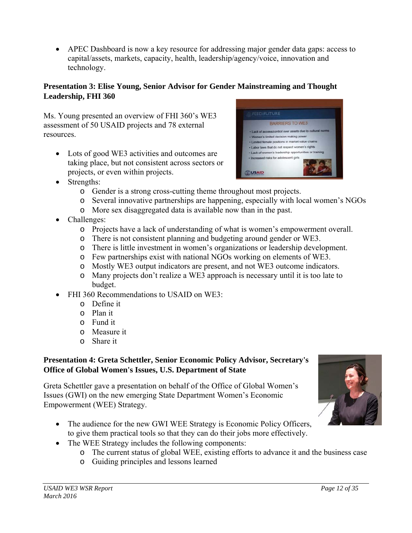APEC Dashboard is now a key resource for addressing major gender data gaps: access to capital/assets, markets, capacity, health, leadership/agency/voice, innovation and technology.

# **Presentation 3: Elise Young, Senior Advisor for Gender Mainstreaming and Thought Leadership, FHI 360**

Ms. Young presented an overview of FHI 360's WE3 assessment of 50 USAID projects and 78 external resources.

• Lots of good WE3 activities and outcomes are taking place, but not consistent across sectors or projects, or even within projects.



- Strengths:
	- o Gender is a strong cross-cutting theme throughout most projects.
	- o Several innovative partnerships are happening, especially with local women's NGOs
	- o More sex disaggregated data is available now than in the past.
- Challenges:
	- o Projects have a lack of understanding of what is women's empowerment overall.
	- o There is not consistent planning and budgeting around gender or WE3.
	- o There is little investment in women's organizations or leadership development.
	- o Few partnerships exist with national NGOs working on elements of WE3.
	- o Mostly WE3 output indicators are present, and not WE3 outcome indicators.
	- o Many projects don't realize a WE3 approach is necessary until it is too late to budget.
- FHI 360 Recommendations to USAID on WE3:
	- o Define it
	- o Plan it
	- o Fund it
	- o Measure it
	- o Share it

# **Presentation 4: Greta Schettler, Senior Economic Policy Advisor, Secretary's Office of Global Women's Issues, U.S. Department of State**

Greta Schettler gave a presentation on behalf of the Office of Global Women's Issues (GWI) on the new emerging State Department Women's Economic Empowerment (WEE) Strategy.

- The audience for the new GWI WEE Strategy is Economic Policy Officers, to give them practical tools so that they can do their jobs more effectively.
- The WEE Strategy includes the following components:
	- o The current status of global WEE, existing efforts to advance it and the business case
	- o Guiding principles and lessons learned

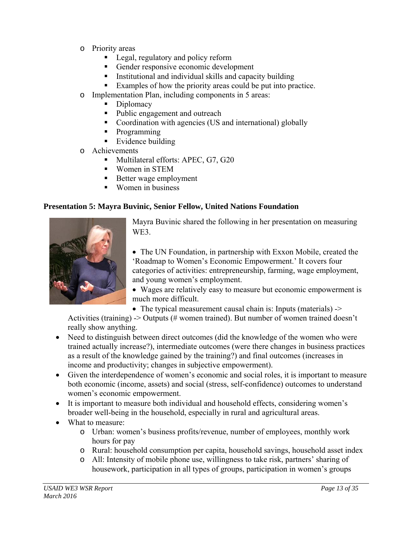- o Priority areas
	- **Legal, regulatory and policy reform**
	- Gender responsive economic development
	- Institutional and individual skills and capacity building
	- Examples of how the priority areas could be put into practice.
- o Implementation Plan, including components in 5 areas:
	- Diplomacy
	- Public engagement and outreach
	- Coordination with agencies (US and international) globally
	- Programming
	- $\blacksquare$  Evidence building
- o Achievements
	- Multilateral efforts: APEC, G7, G20
	- **Women** in STEM
	- Better wage employment
	- Women in business

### **Presentation 5: Mayra Buvinic, Senior Fellow, United Nations Foundation**



Mayra Buvinic shared the following in her presentation on measuring WE3.

 The UN Foundation, in partnership with Exxon Mobile, created the 'Roadmap to Women's Economic Empowerment.' It covers four categories of activities: entrepreneurship, farming, wage employment, and young women's employment.

- Wages are relatively easy to measure but economic empowerment is much more difficult.
- The typical measurement causal chain is: Inputs (materials) ->

Activities (training) -> Outputs (# women trained). But number of women trained doesn't really show anything.

- Need to distinguish between direct outcomes (did the knowledge of the women who were trained actually increase?), intermediate outcomes (were there changes in business practices as a result of the knowledge gained by the training?) and final outcomes (increases in income and productivity; changes in subjective empowerment).
- Given the interdependence of women's economic and social roles, it is important to measure both economic (income, assets) and social (stress, self-confidence) outcomes to understand women's economic empowerment.
- It is important to measure both individual and household effects, considering women's broader well-being in the household, especially in rural and agricultural areas.
- What to measure:
	- o Urban: women's business profits/revenue, number of employees, monthly work hours for pay
	- o Rural: household consumption per capita, household savings, household asset index
	- o All: Intensity of mobile phone use, willingness to take risk, partners' sharing of housework, participation in all types of groups, participation in women's groups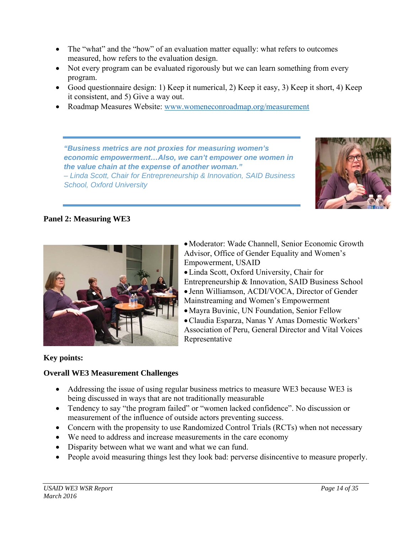- The "what" and the "how" of an evaluation matter equally: what refers to outcomes measured, how refers to the evaluation design.
- Not every program can be evaluated rigorously but we can learn something from every program.
- Good questionnaire design: 1) Keep it numerical, 2) Keep it easy, 3) Keep it short, 4) Keep it consistent, and 5) Give a way out.
- Roadmap Measures Website: www.womeneconroadmap.org/measurement

*"Business metrics are not proxies for measuring women's economic empowerment…Also, we can't empower one women in the value chain at the expense of another woman." – Linda Scott, Chair for Entrepreneurship & Innovation, SAID Business School, Oxford University* 





Moderator: Wade Channell, Senior Economic Growth Advisor, Office of Gender Equality and Women's Empowerment, USAID

Linda Scott, Oxford University, Chair for Entrepreneurship & Innovation, SAID Business School Jenn Williamson, ACDI/VOCA, Director of Gender

Mainstreaming and Women's Empowerment

Mayra Buvinic, UN Foundation, Senior Fellow

Claudia Esparza, Nanas Y Amas Domestic Workers' Association of Peru, General Director and Vital Voices Representative

### **Key points:**

### **Overall WE3 Measurement Challenges**

- Addressing the issue of using regular business metrics to measure WE3 because WE3 is being discussed in ways that are not traditionally measurable
- Tendency to say "the program failed" or "women lacked confidence". No discussion or measurement of the influence of outside actors preventing success.
- Concern with the propensity to use Randomized Control Trials (RCTs) when not necessary
- We need to address and increase measurements in the care economy
- Disparity between what we want and what we can fund.
- People avoid measuring things lest they look bad: perverse disincentive to measure properly.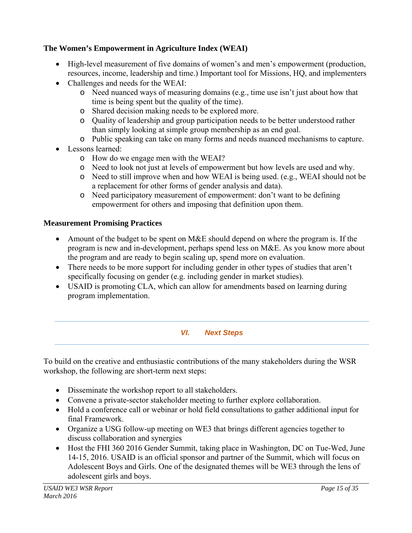# **The Women's Empowerment in Agriculture Index (WEAI)**

- High-level measurement of five domains of women's and men's empowerment (production, resources, income, leadership and time.) Important tool for Missions, HQ, and implementers
- Challenges and needs for the WEAI:
	- o Need nuanced ways of measuring domains (e.g., time use isn't just about how that time is being spent but the quality of the time).
	- o Shared decision making needs to be explored more.
	- o Quality of leadership and group participation needs to be better understood rather than simply looking at simple group membership as an end goal.
	- o Public speaking can take on many forms and needs nuanced mechanisms to capture.
- Lessons learned:
	- o How do we engage men with the WEAI?
	- o Need to look not just at levels of empowerment but how levels are used and why.
	- o Need to still improve when and how WEAI is being used. (e.g., WEAI should not be a replacement for other forms of gender analysis and data).
	- o Need participatory measurement of empowerment: don't want to be defining empowerment for others and imposing that definition upon them.

# **Measurement Promising Practices**

- Amount of the budget to be spent on M&E should depend on where the program is. If the program is new and in-development, perhaps spend less on M&E. As you know more about the program and are ready to begin scaling up, spend more on evaluation.
- There needs to be more support for including gender in other types of studies that aren't specifically focusing on gender (e.g. including gender in market studies).
- USAID is promoting CLA, which can allow for amendments based on learning during program implementation.

# *VI. Next Steps*

To build on the creative and enthusiastic contributions of the many stakeholders during the WSR workshop, the following are short-term next steps:

- Disseminate the workshop report to all stakeholders.
- Convene a private-sector stakeholder meeting to further explore collaboration.
- Hold a conference call or webinar or hold field consultations to gather additional input for final Framework.
- Organize a USG follow-up meeting on WE3 that brings different agencies together to discuss collaboration and synergies
- Host the FHI 360 2016 Gender Summit, taking place in Washington, DC on Tue-Wed, June 14-15, 2016. USAID is an official sponsor and partner of the Summit, which will focus on Adolescent Boys and Girls. One of the designated themes will be WE3 through the lens of adolescent girls and boys.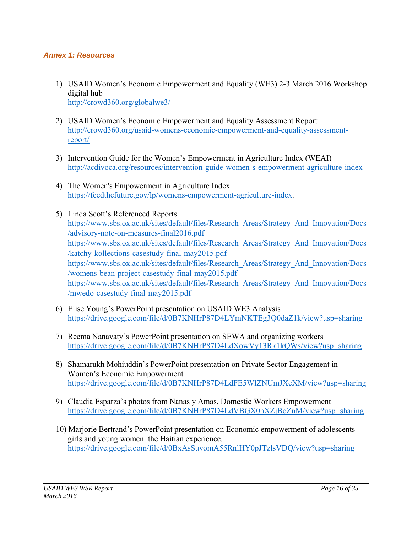### *Annex 1: Resources*

- 1) USAID Women's Economic Empowerment and Equality (WE3) 2-3 March 2016 Workshop digital hub http://crowd360.org/globalwe3/
- 2) USAID Women's Economic Empowerment and Equality Assessment Report http://crowd360.org/usaid-womens-economic-empowerment-and-equality-assessmentreport/
- 3) Intervention Guide for the Women's Empowerment in Agriculture Index (WEAI) http://acdivoca.org/resources/intervention-guide-women-s-empowerment-agriculture-index
- 4) The Women's Empowerment in Agriculture Index https://feedthefuture.gov/lp/womens-empowerment-agriculture-index.
- 5) Linda Scott's Referenced Reports https://www.sbs.ox.ac.uk/sites/default/files/Research\_Areas/Strategy\_And\_Innovation/Docs /advisory-note-on-measures-final2016.pdf https://www.sbs.ox.ac.uk/sites/default/files/Research\_Areas/Strategy\_And\_Innovation/Docs /katchy-kollections-casestudy-final-may2015.pdf https://www.sbs.ox.ac.uk/sites/default/files/Research\_Areas/Strategy\_And\_Innovation/Docs /womens-bean-project-casestudy-final-may2015.pdf https://www.sbs.ox.ac.uk/sites/default/files/Research\_Areas/Strategy\_And\_Innovation/Docs /mwedo-casestudy-final-may2015.pdf
- 6) Elise Young's PowerPoint presentation on USAID WE3 Analysis https://drive.google.com/file/d/0B7KNHrP87D4LYmNKTEg3Q0daZ1k/view?usp=sharing
- 7) Reema Nanavaty's PowerPoint presentation on SEWA and organizing workers https://drive.google.com/file/d/0B7KNHrP87D4LdXowVy13Rk1kQWs/view?usp=sharing
- 8) Shamarukh Mohiuddin's PowerPoint presentation on Private Sector Engagement in Women's Economic Empowerment https://drive.google.com/file/d/0B7KNHrP87D4LdFE5WlZNUmJXeXM/view?usp=sharing
- 9) Claudia Esparza's photos from Nanas y Amas, Domestic Workers Empowerment https://drive.google.com/file/d/0B7KNHrP87D4LdVBGX0hXZjBoZnM/view?usp=sharing
- 10) Marjorie Bertrand's PowerPoint presentation on Economic empowerment of adolescents girls and young women: the Haitian experience. https://drive.google.com/file/d/0BxAsSuvomA55RnlHY0pJTzlsVDQ/view?usp=sharing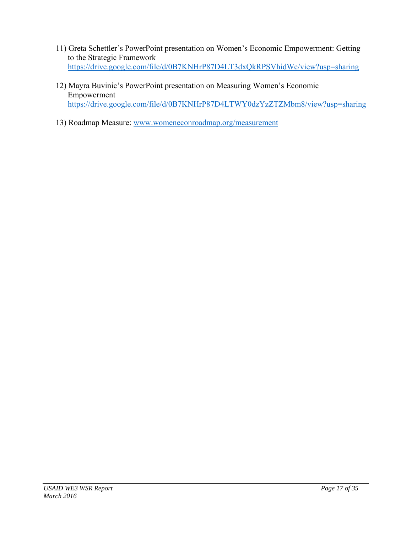- 11) Greta Schettler's PowerPoint presentation on Women's Economic Empowerment: Getting to the Strategic Framework https://drive.google.com/file/d/0B7KNHrP87D4LT3dxQkRPSVhidWc/view?usp=sharing
- 12) Mayra Buvinic's PowerPoint presentation on Measuring Women's Economic Empowerment https://drive.google.com/file/d/0B7KNHrP87D4LTWY0dzYzZTZMbm8/view?usp=sharing
- 13) Roadmap Measure: www.womeneconroadmap.org/measurement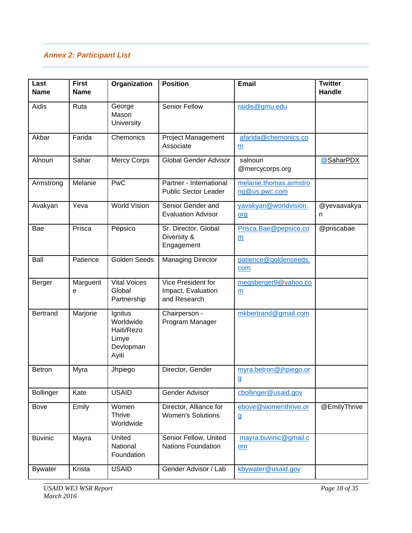# *Annex 2: Participant List*

| Last<br><b>Name</b> | <b>First</b><br><b>Name</b> | Organization                                                      | <b>Position</b>                                          | <b>Email</b>                            | <b>Twitter</b><br>Handle |
|---------------------|-----------------------------|-------------------------------------------------------------------|----------------------------------------------------------|-----------------------------------------|--------------------------|
| Aidis               | Ruta                        | George<br>Mason<br><b>University</b>                              | Senior Fellow                                            | raidis@gmu.edu                          |                          |
| Akbar               | Farida                      | Chemonics                                                         | <b>Project Management</b><br>Associate                   | afarida@chemonics.co<br>m               |                          |
| Alnouri             | Sahar                       | <b>Mercy Corps</b>                                                | <b>Global Gender Advisor</b>                             | salnouri<br>@mercycorps.org             | @SaharPDX                |
| Armstrong           | Melanie                     | PwC                                                               | Partner - International<br><b>Public Sector Leader</b>   | melanie.thomas.armstro<br>ng@us.pwc.com |                          |
| Avakyan             | Yeva                        | <b>World Vision</b>                                               | Senior Gender and<br><b>Evaluation Advisor</b>           | yavakyan@worldvision.<br>org            | @yevaavakya<br>n         |
| Bae                 | Prisca                      | Pepsico                                                           | Sr. Director, Global<br>Diversity &<br>Engagement        | Prisca.Bae@pepsico.co<br>m              | @priscabae               |
| Ball                | Patience                    | <b>Golden Seeds</b>                                               | <b>Managing Director</b>                                 | patience@goldenseeds.<br>com            |                          |
| Berger              | Marguerit<br>e              | <b>Vital Voices</b><br>Global<br>Partnership                      | Vice President for<br>Impact, Evaluation<br>and Research | megsberger9@yahoo.co<br>m               |                          |
| <b>Bertrand</b>     | Marjorie                    | Ignitus<br>Worldwide<br>Haiti/Rezo<br>Limye<br>Devlopman<br>Ayiti | Chairperson -<br>Program Manager                         | mkbertrand@gmail.com                    |                          |
| <b>Betron</b>       | Myra                        | Jhpiego                                                           | Director, Gender                                         | myra.betron@jhpiego.or<br>$\mathbf g$   |                          |
| <b>Bollinger</b>    | Kate                        | <b>USAID</b>                                                      | Gender Advisor                                           | cbollinger@usaid.gov                    |                          |
| Bove                | Emily                       | Women<br><b>Thrive</b><br>Worldwide                               | Director, Alliance for<br><b>Women's Solutions</b>       | ebove@womenthrive.or<br>$\mathbf{g}$    | @EmilyThrive             |
| <b>Buvinic</b>      | Mayra                       | United<br>National<br>Foundation                                  | Senior Fellow, United<br><b>Nations Foundation</b>       | mayra.buvinic@gmail.c<br>$om$           |                          |
| <b>Bywater</b>      | Krista                      | <b>USAID</b>                                                      | Gender Advisor / Lab                                     | kbywater@usaid.gov                      |                          |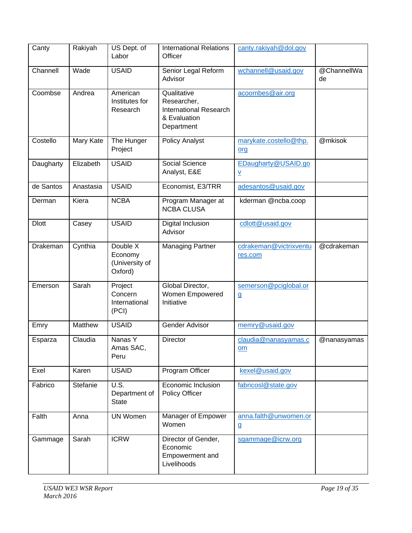| Canty        | Rakiyah        | US Dept. of<br>Labor                               | <b>International Relations</b><br>Officer                                                 | canty.rakiyah@dol.gov                           |                   |
|--------------|----------------|----------------------------------------------------|-------------------------------------------------------------------------------------------|-------------------------------------------------|-------------------|
| Channell     | Wade           | <b>USAID</b>                                       | Senior Legal Reform<br>Advisor                                                            | wchannell@usaid.gov                             | @ChannellWa<br>de |
| Coombse      | Andrea         | American<br>Institutes for<br>Research             | Qualitative<br>Researcher,<br><b>International Research</b><br>& Evaluation<br>Department | acoombes@air.org                                |                   |
| Costello     | Mary Kate      | The Hunger<br>Project                              | <b>Policy Analyst</b>                                                                     | marykate.costello@thp.<br>org                   | @mkisok           |
| Daugharty    | Elizabeth      | <b>USAID</b>                                       | Social Science<br>Analyst, E&E                                                            | EDaugharty@USAID.go<br>$\underline{\mathsf{v}}$ |                   |
| de Santos    | Anastasia      | <b>USAID</b>                                       | Economist, E3/TRR                                                                         | adesantos@usaid.gov                             |                   |
| Derman       | Kiera          | <b>NCBA</b>                                        | Program Manager at<br><b>NCBA CLUSA</b>                                                   | kderman @ncba.coop                              |                   |
| <b>Dlott</b> | Casey          | <b>USAID</b>                                       | Digital Inclusion<br>Advisor                                                              | cdlott@usaid.gov                                |                   |
| Drakeman     | Cynthia        | Double X<br>Economy<br>(University of<br>Oxford)   | <b>Managing Partner</b>                                                                   | cdrakeman@victrixventu<br>res.com               | @cdrakeman        |
| Emerson      | Sarah          | Project<br>Concern<br>International<br>(PCI)       | Global Director,<br>Women Empowered<br>Initiative                                         | semerson@pciglobal.or<br>$\mathbf{g}$           |                   |
| Emry         | <b>Matthew</b> | <b>USAID</b>                                       | Gender Advisor                                                                            | memry@usaid.gov                                 |                   |
| Esparza      | Claudia        | Nanas Y<br>Amas SAC,<br>Peru                       | <b>Director</b>                                                                           | claudia@nanasyamas.c<br>om                      | @nanasyamas       |
| Exel         | Karen          | <b>USAID</b>                                       | Program Officer                                                                           | kexel@usaid.gov                                 |                   |
| Fabrico      | Stefanie       | $\overline{U.S.}$<br>Department of<br><b>State</b> | Economic Inclusion<br>Policy Officer                                                      | fabricosl@state.gov                             |                   |
| Falth        | Anna           | <b>UN Women</b>                                    | Manager of Empower<br>Women                                                               | anna.falth@unwomen.or<br>g                      |                   |
| Gammage      | Sarah          | <b>ICRW</b>                                        | Director of Gender,<br>Economic<br>Empowerment and<br>Livelihoods                         | sgammage@icrw.org                               |                   |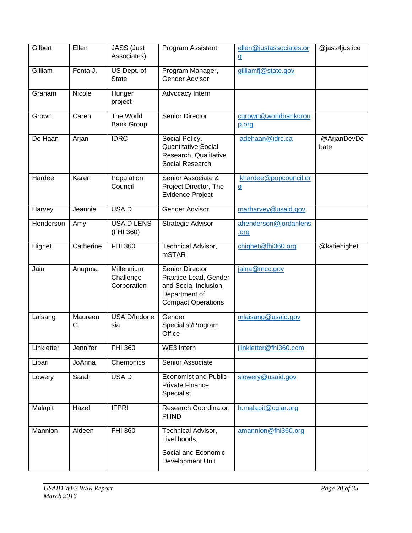| Gilbert    | Ellen         | JASS (Just<br>Associates)              | Program Assistant                                                                                               | ellen@justassociates.or<br>$9$                      | @jass4justice       |
|------------|---------------|----------------------------------------|-----------------------------------------------------------------------------------------------------------------|-----------------------------------------------------|---------------------|
| Gilliam    | Fonta J.      | US Dept. of<br><b>State</b>            | Program Manager,<br>Gender Advisor                                                                              | gilliamfj@state.gov                                 |                     |
| Graham     | Nicole        | Hunger<br>project                      | Advocacy Intern                                                                                                 |                                                     |                     |
| Grown      | Caren         | The World<br><b>Bank Group</b>         | Senior Director                                                                                                 | cgrown@worldbankgrou<br>p.org                       |                     |
| De Haan    | Arjan         | <b>IDRC</b>                            | Social Policy,<br><b>Quantitative Social</b><br>Research, Qualitative<br>Social Research                        | adehaan@idrc.ca                                     | @ArjanDevDe<br>bate |
| Hardee     | Karen         | Population<br>Council                  | Senior Associate &<br>Project Director, The<br><b>Evidence Project</b>                                          | khardee@popcouncil.or<br>${\underline{\mathsf{g}}}$ |                     |
| Harvey     | Jeannie       | <b>USAID</b>                           | <b>Gender Advisor</b>                                                                                           | marharvey@usaid.gov                                 |                     |
| Henderson  | Amy           | <b>USAID LENS</b><br>(FHI 360)         | Strategic Advisor                                                                                               | ahenderson@jordanlens<br><u>org</u>                 |                     |
| Highet     | Catherine     | <b>FHI 360</b>                         | Technical Advisor,<br><b>mSTAR</b>                                                                              | chighet@fhi360.org                                  | @katiehighet        |
| Jain       | Anupma        | Millennium<br>Challenge<br>Corporation | Senior Director<br>Practice Lead, Gender<br>and Social Inclusion,<br>Department of<br><b>Compact Operations</b> | jaina@mcc.gov                                       |                     |
| Laisang    | Maureen<br>G. | USAID/Indone<br>sia                    | Gender<br>Specialist/Program<br>Office                                                                          | mlaisang@usaid.gov                                  |                     |
| Linkletter | Jennifer      | <b>FHI 360</b>                         | WE3 Intern                                                                                                      | jlinkletter@fhi360.com                              |                     |
| Lipari     | JoAnna        | Chemonics                              | Senior Associate                                                                                                |                                                     |                     |
| Lowery     | Sarah         | <b>USAID</b>                           | <b>Economist and Public-</b><br>Private Finance<br>Specialist                                                   | slowery@usaid.gov                                   |                     |
| Malapit    | Hazel         | <b>IFPRI</b>                           | Research Coordinator,<br><b>PHND</b>                                                                            | h.malapit@cgiar.org                                 |                     |
| Mannion    | Aideen        | FHI 360                                | <b>Technical Advisor,</b><br>Livelihoods,<br>Social and Economic<br>Development Unit                            | amannion@fhi360.org                                 |                     |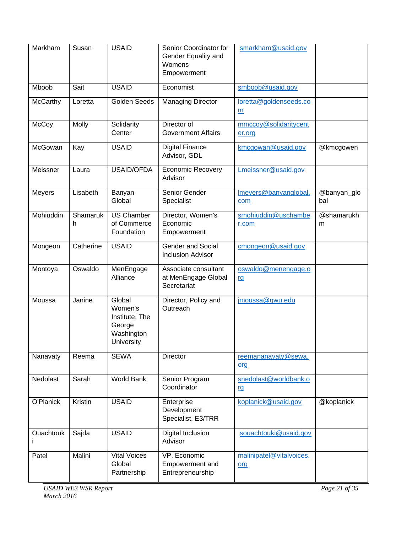| Markham         | Susan         | <b>USAID</b>                                                              | Senior Coordinator for<br>Gender Equality and<br>Womens<br>Empowerment | smarkham@usaid.gov              |                    |
|-----------------|---------------|---------------------------------------------------------------------------|------------------------------------------------------------------------|---------------------------------|--------------------|
| Mboob           | Sait          | <b>USAID</b>                                                              | Economist                                                              | smboob@usaid.gov                |                    |
| <b>McCarthy</b> | Loretta       | <b>Golden Seeds</b>                                                       | <b>Managing Director</b>                                               | loretta@goldenseeds.co<br>m     |                    |
| McCoy           | Molly         | Solidarity<br>Center                                                      | Director of<br><b>Government Affairs</b>                               | mmccoy@solidaritycent<br>er.org |                    |
| McGowan         | Kay           | <b>USAID</b>                                                              | <b>Digital Finance</b><br>Advisor, GDL                                 | kmcgowan@usaid.gov              | @kmcgowen          |
| Meissner        | Laura         | USAID/OFDA                                                                | <b>Economic Recovery</b><br>Advisor                                    | Lmeissner@usaid.gov             |                    |
| <b>Meyers</b>   | Lisabeth      | Banyan<br>Global                                                          | Senior Gender<br>Specialist                                            | Imeyers@banyanglobal.<br>com    | @banyan_glo<br>bal |
| Mohiuddin       | Shamaruk<br>h | <b>US Chamber</b><br>of Commerce<br>Foundation                            | Director, Women's<br>Economic<br>Empowerment                           | smohiuddin@uschambe<br>r.com    | @shamarukh<br>m    |
| Mongeon         | Catherine     | <b>USAID</b>                                                              | <b>Gender and Social</b><br><b>Inclusion Advisor</b>                   | cmongeon@usaid.gov              |                    |
| Montoya         | Oswaldo       | MenEngage<br>Alliance                                                     | Associate consultant<br>at MenEngage Global<br>Secretariat             | oswaldo@menengage.o<br>rg       |                    |
| Moussa          | Janine        | Global<br>Women's<br>Institute, The<br>George<br>Washington<br>University | Director, Policy and<br>Outreach                                       | jmoussa@gwu.edu                 |                    |
| Nanavaty        | Reema         | <b>SEWA</b>                                                               | <b>Director</b>                                                        | reemananavaty@sewa.<br>org      |                    |
| Nedolast        | Sarah         | World Bank                                                                | Senior Program<br>Coordinator                                          | snedolast@worldbank.o<br>rg     |                    |
| O'Planick       | Kristin       | <b>USAID</b>                                                              | Enterprise<br>Development<br>Specialist, E3/TRR                        | koplanick@usaid.gov             | @koplanick         |
| Ouachtouk       | Sajda         | <b>USAID</b>                                                              | Digital Inclusion<br>Advisor                                           | souachtouki@usaid.gov           |                    |
| Patel           | Malini        | <b>Vital Voices</b><br>Global<br>Partnership                              | VP, Economic<br>Empowerment and<br>Entrepreneurship                    | malinipatel@vitalvoices.<br>org |                    |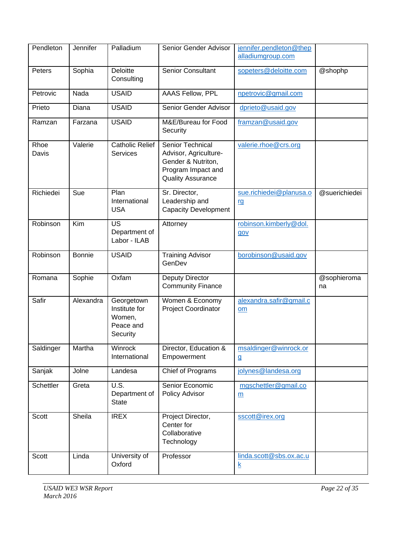| Pendleton     | Jennifer         | Palladium                                                      | Senior Gender Advisor                                                                                             | jennifer.pendleton@thep<br>alladiumgroup.com |                   |
|---------------|------------------|----------------------------------------------------------------|-------------------------------------------------------------------------------------------------------------------|----------------------------------------------|-------------------|
| Peters        | Sophia           | Deloitte<br>Consulting                                         | <b>Senior Consultant</b>                                                                                          | sopeters@deloitte.com                        | @shophp           |
| Petrovic      | Nada             | <b>USAID</b>                                                   | <b>AAAS Fellow, PPL</b>                                                                                           | npetrovic@gmail.com                          |                   |
| Prieto        | Diana            | <b>USAID</b>                                                   | Senior Gender Advisor                                                                                             | dprieto@usaid.gov                            |                   |
| Ramzan        | Farzana          | <b>USAID</b>                                                   | M&E/Bureau for Food<br>Security                                                                                   | framzan@usaid.gov                            |                   |
| Rhoe<br>Davis | Valerie          | <b>Catholic Relief</b><br><b>Services</b>                      | Senior Technical<br>Advisor, Agriculture-<br>Gender & Nutriton,<br>Program Impact and<br><b>Quality Assurance</b> | valerie.rhoe@crs.org                         |                   |
| Richiedei     | Sue              | Plan<br>International<br><b>USA</b>                            | Sr. Director,<br>Leadership and<br><b>Capacity Development</b>                                                    | sue.richiedei@planusa.o<br>rg                | @suerichiedei     |
| Robinson      | $\overline{Kim}$ | US<br>Department of<br>Labor - ILAB                            | Attorney                                                                                                          | robinson.kimberly@dol.<br>gov                |                   |
| Robinson      | <b>Bonnie</b>    | <b>USAID</b>                                                   | <b>Training Advisor</b><br>GenDev                                                                                 | borobinson@usaid.gov                         |                   |
| Romana        | Sophie           | Oxfam                                                          | Deputy Director<br><b>Community Finance</b>                                                                       |                                              | @sophieroma<br>na |
| Safir         | Alexandra        | Georgetown<br>Institute for<br>Women,<br>Peace and<br>Security | Women & Economy<br>Project Coordinator                                                                            | alexandra.safir@gmail.c<br>om                |                   |
| Saldinger     | Martha           | Winrock<br>International                                       | Director, Education &<br>Empowerment                                                                              | msaldinger@winrock.or<br>$\mathbf{g}$        |                   |
| Sanjak        | Jolne            | Landesa                                                        | Chief of Programs                                                                                                 | jolynes@landesa.org                          |                   |
| Schettler     | Greta            | U.S.<br>Department of<br><b>State</b>                          | Senior Economic<br>Policy Advisor                                                                                 | mgschettler@gmail.co<br>$\underline{m}$      |                   |
| Scott         | Sheila           | <b>IREX</b>                                                    | Project Director,<br>Center for<br>Collaborative<br>Technology                                                    | sscott@irex.org                              |                   |
| Scott         | Linda            | University of<br>Oxford                                        | Professor                                                                                                         | linda.scott@sbs.ox.ac.u<br>$\underline{k}$   |                   |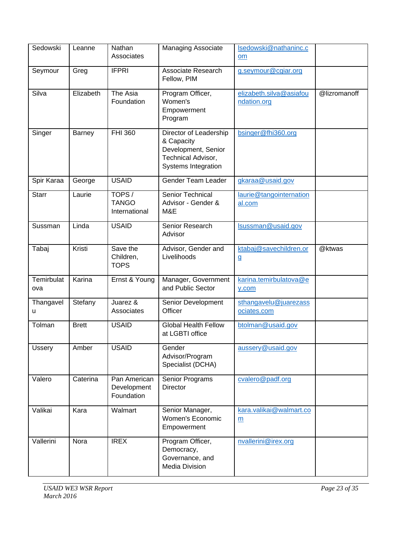| Sedowski          | Leanne       | Nathan<br>Associates                      | <b>Managing Associate</b>                                                                                | Isedowski@nathaninc.c<br>$om$              |              |
|-------------------|--------------|-------------------------------------------|----------------------------------------------------------------------------------------------------------|--------------------------------------------|--------------|
| Seymour           | Greg         | <b>IFPRI</b>                              | Associate Research<br>Fellow, PIM                                                                        | g.seymour@cgiar.org                        |              |
| Silva             | Elizabeth    | The Asia<br>Foundation                    | Program Officer,<br>Women's<br>Empowerment<br>Program                                                    | elizabeth.silva@asiafou<br>ndation.org     | @lizromanoff |
| Singer            | Barney       | <b>FHI 360</b>                            | Director of Leadership<br>& Capacity<br>Development, Senior<br>Technical Advisor,<br>Systems Integration | bsinger@fhi360.org                         |              |
| Spir Karaa        | George       | <b>USAID</b>                              | Gender Team Leader                                                                                       | gkaraa@usaid.gov                           |              |
| <b>Starr</b>      | Laurie       | TOPS/<br><b>TANGO</b><br>International    | Senior Technical<br>Advisor - Gender &<br>M&E                                                            | laurie@tangointernation<br>al.com          |              |
| Sussman           | Linda        | <b>USAID</b>                              | Senior Research<br>Advisor                                                                               | Isussman@usaid.gov                         |              |
| Tabaj             | Kristi       | Save the<br>Children,<br><b>TOPS</b>      | Advisor, Gender and<br>Livelihoods                                                                       | ktabaj@savechildren.or<br>$\mathbf{g}$     | @ktwas       |
| Temirbulat<br>ova | Karina       | Ernst & Young                             | Manager, Government<br>and Public Sector                                                                 | karina.temirbulatova@e<br>y.com            |              |
| Thangavel<br>u    | Stefany      | Juarez &<br>Associates                    | Senior Development<br>Officer                                                                            | sthangavelu@juarezass<br>ociates.com       |              |
| Tolman            | <b>Brett</b> | <b>USAID</b>                              | <b>Global Health Fellow</b><br>at LGBTI office                                                           | btolman@usaid.gov                          |              |
| <b>Ussery</b>     | Amber        | <b>USAID</b>                              | Gender<br>Advisor/Program<br>Specialist (DCHA)                                                           | aussery@usaid.gov                          |              |
| Valero            | Caterina     | Pan American<br>Development<br>Foundation | Senior Programs<br><b>Director</b>                                                                       | cvalero@padf.org                           |              |
| Valikai           | Kara         | Walmart                                   | Senior Manager,<br>Women's Economic<br>Empowerment                                                       | kara.valikai@walmart.co<br>$\underline{m}$ |              |
| Vallerini         | Nora         | <b>IREX</b>                               | Program Officer,<br>Democracy,<br>Governance, and<br><b>Media Division</b>                               | nvallerini@irex.org                        |              |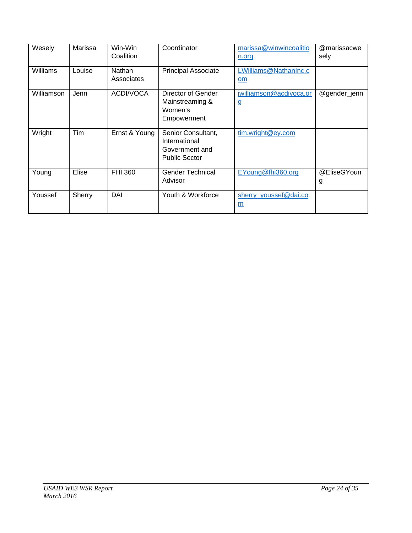| Wesely     | Marissa    | Win-Win<br>Coalition | Coordinator                                                                   | marissa@winwincoalitio<br>n.org     | @marissacwe<br>sely |
|------------|------------|----------------------|-------------------------------------------------------------------------------|-------------------------------------|---------------------|
| Williams   | Louise     | Nathan<br>Associates | <b>Principal Associate</b>                                                    | LWilliams@NathanInc.c<br>om         |                     |
| Williamson | Jenn       | ACDI/VOCA            | Director of Gender<br>Mainstreaming &<br>Women's<br>Empowerment               | jwilliamson@acdivoca.or<br><u>g</u> | @gender_jenn        |
| Wright     | <b>Tim</b> | Ernst & Young        | Senior Consultant,<br>International<br>Government and<br><b>Public Sector</b> | tim.wright@ey.com                   |                     |
| Young      | Elise      | FHI 360              | <b>Gender Technical</b><br>Advisor                                            | EYoung@fhi360.org                   | @EliseGYoun<br>g    |
| Youssef    | Sherry     | DAI                  | Youth & Workforce                                                             | sherry_youssef@dai.co<br>m          |                     |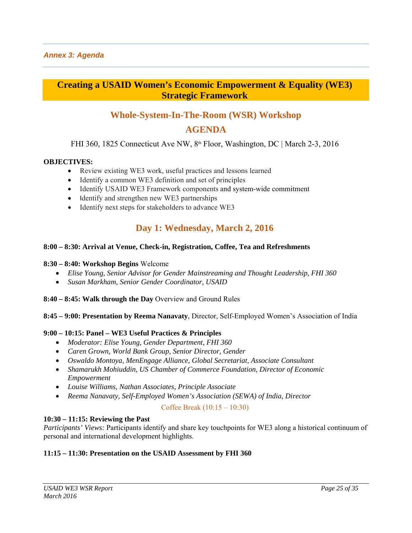# **Creating a USAID Women's Economic Empowerment & Equality (WE3) Strategic Framework**

# **Whole-System-In-The-Room (WSR) Workshop**

## **AGENDA**

FHI 360, 1825 Connecticut Ave NW, 8th Floor, Washington, DC | March 2-3, 2016

#### **OBJECTIVES:**

- Review existing WE3 work, useful practices and lessons learned
- Identify a common WE3 definition and set of principles
- Identify USAID WE3 Framework components and system-wide commitment
- Identify and strengthen new WE3 partnerships
- Identify next steps for stakeholders to advance WE3

# **Day 1: Wednesday, March 2, 2016**

#### **8:00 – 8:30: Arrival at Venue, Check-in, Registration, Coffee, Tea and Refreshments**

#### **8:30 – 8:40: Workshop Begins** Welcome

- *Elise Young, Senior Advisor for Gender Mainstreaming and Thought Leadership, FHI 360*
- *Susan Markham, Senior Gender Coordinator, USAID*
- **8:40 8:45: Walk through the Day** Overview and Ground Rules

#### **8:45 – 9:00: Presentation by Reema Nanavaty**, Director, Self-Employed Women's Association of India

#### **9:00 – 10:15: Panel – WE3 Useful Practices & Principles**

- *Moderator: Elise Young, Gender Department, FHI 360*
- *Caren Grown, World Bank Group, Senior Director, Gender*
- *Oswaldo Montoya, MenEngage Alliance, Global Secretariat, Associate Consultant*
- *Shamarukh Mohiuddin, US Chamber of Commerce Foundation, Director of Economic Empowerment*
- *Louise Williams, Nathan Associates, Principle Associate*
- *Reema Nanavaty, Self-Employed Women's Association (SEWA) of India, Director*

#### Coffee Break (10:15 – 10:30)

#### **10:30 – 11:15: Reviewing the Past**

*Participants' Views:* Participants identify and share key touchpoints for WE3 along a historical continuum of personal and international development highlights.

#### **11:15 – 11:30: Presentation on the USAID Assessment by FHI 360**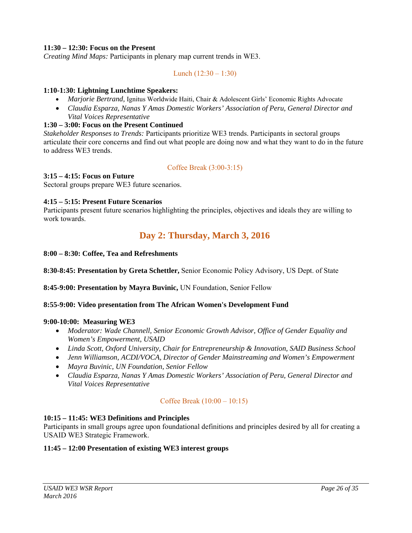### **11:30 – 12:30: Focus on the Present**

*Creating Mind Maps:* Participants in plenary map current trends in WE3.

Lunch  $(12:30 - 1:30)$ 

#### **1:10-1:30: Lightning Lunchtime Speakers:**

- *Marjorie Bertrand,* Ignitus Worldwide Haiti, Chair & Adolescent Girls' Economic Rights Advocate
- *Claudia Esparza, Nanas Y Amas Domestic Workers' Association of Peru, General Director and Vital Voices Representative*

#### **1:30 – 3:00: Focus on the Present Continued**

*Stakeholder Responses to Trends:* Participants prioritize WE3 trends. Participants in sectoral groups articulate their core concerns and find out what people are doing now and what they want to do in the future to address WE3 trends.

#### Coffee Break (3:00-3:15)

#### **3:15 – 4:15: Focus on Future**

Sectoral groups prepare WE3 future scenarios.

#### **4:15 – 5:15: Present Future Scenarios**

Participants present future scenarios highlighting the principles, objectives and ideals they are willing to work towards.

# **Day 2: Thursday, March 3, 2016**

#### **8:00 – 8:30: Coffee, Tea and Refreshments**

**8:30-8:45: Presentation by Greta Schettler,** Senior Economic Policy Advisory, US Dept. of State

**8:45-9:00: Presentation by Mayra Buvinic,** UN Foundation, Senior Fellow

#### **8:55-9:00: Video presentation from The African Women's Development Fund**

#### **9:00-10:00: Measuring WE3**

- *Moderator: Wade Channell, Senior Economic Growth Advisor, Office of Gender Equality and Women's Empowerment, USAID*
- *Linda Scott, Oxford University, Chair for Entrepreneurship & Innovation, SAID Business School*
- *Jenn Williamson, ACDI/VOCA, Director of Gender Mainstreaming and Women's Empowerment*
- *Mayra Buvinic, UN Foundation, Senior Fellow*
- *Claudia Esparza, Nanas Y Amas Domestic Workers' Association of Peru, General Director and Vital Voices Representative*

#### Coffee Break (10:00 – 10:15)

#### **10:15 – 11:45: WE3 Definitions and Principles**

Participants in small groups agree upon foundational definitions and principles desired by all for creating a USAID WE3 Strategic Framework.

#### **11:45 – 12:00 Presentation of existing WE3 interest groups**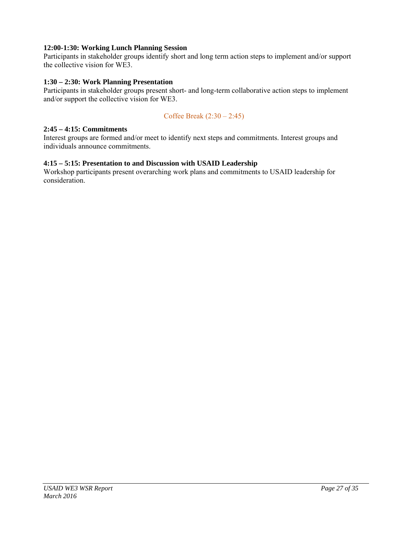### **12:00-1:30: Working Lunch Planning Session**

Participants in stakeholder groups identify short and long term action steps to implement and/or support the collective vision for WE3.

### **1:30 – 2:30: Work Planning Presentation**

Participants in stakeholder groups present short- and long-term collaborative action steps to implement and/or support the collective vision for WE3.

### Coffee Break (2:30 – 2:45)

#### **2:45 – 4:15: Commitments**

Interest groups are formed and/or meet to identify next steps and commitments. Interest groups and individuals announce commitments.

#### **4:15 – 5:15: Presentation to and Discussion with USAID Leadership**

Workshop participants present overarching work plans and commitments to USAID leadership for consideration.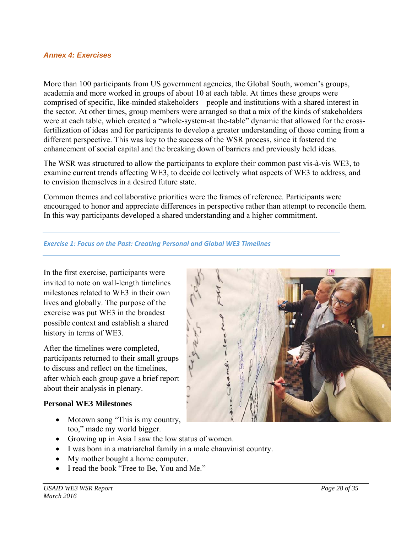### *Annex 4: Exercises*

More than 100 participants from US government agencies, the Global South, women's groups, academia and more worked in groups of about 10 at each table. At times these groups were comprised of specific, like-minded stakeholders—people and institutions with a shared interest in the sector. At other times, group members were arranged so that a mix of the kinds of stakeholders were at each table, which created a "whole-system-at the-table" dynamic that allowed for the crossfertilization of ideas and for participants to develop a greater understanding of those coming from a different perspective. This was key to the success of the WSR process, since it fostered the enhancement of social capital and the breaking down of barriers and previously held ideas.

The WSR was structured to allow the participants to explore their common past vis-à-vis WE3, to examine current trends affecting WE3, to decide collectively what aspects of WE3 to address, and to envision themselves in a desired future state.

Common themes and collaborative priorities were the frames of reference. Participants were encouraged to honor and appreciate differences in perspective rather than attempt to reconcile them. In this way participants developed a shared understanding and a higher commitment.

#### *Exercise 1: Focus on the Past: Creating Personal and Global WE3 Timelines*

In the first exercise, participants were invited to note on wall-length timelines milestones related to WE3 in their own lives and globally. The purpose of the exercise was put WE3 in the broadest possible context and establish a shared history in terms of WE3.

After the timelines were completed, participants returned to their small groups to discuss and reflect on the timelines, after which each group gave a brief report about their analysis in plenary.

### **Personal WE3 Milestones**

- Motown song "This is my country, too," made my world bigger.
- Growing up in Asia I saw the low status of women.
- I was born in a matriarchal family in a male chauvinist country.
- My mother bought a home computer.
- I read the book "Free to Be, You and Me."

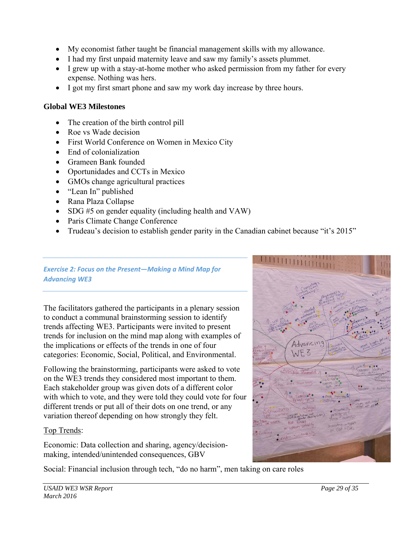- My economist father taught be financial management skills with my allowance.
- I had my first unpaid maternity leave and saw my family's assets plummet.
- I grew up with a stay-at-home mother who asked permission from my father for every expense. Nothing was hers.
- I got my first smart phone and saw my work day increase by three hours.

# **Global WE3 Milestones**

- The creation of the birth control pill
- Roe vs Wade decision
- First World Conference on Women in Mexico City
- End of colonialization
- Grameen Bank founded
- Oportunidades and CCTs in Mexico
- GMOs change agricultural practices
- "Lean In" published
- Rana Plaza Collapse
- SDG #5 on gender equality (including health and VAW)
- Paris Climate Change Conference
- Trudeau's decision to establish gender parity in the Canadian cabinet because "it's 2015"

### *Exercise 2: Focus on the Present—Making a Mind Map for Advancing WE3*

The facilitators gathered the participants in a plenary session to conduct a communal brainstorming session to identify trends affecting WE3. Participants were invited to present trends for inclusion on the mind map along with examples of the implications or effects of the trends in one of four categories: Economic, Social, Political, and Environmental.

Following the brainstorming, participants were asked to vote on the WE3 trends they considered most important to them. Each stakeholder group was given dots of a different color with which to vote, and they were told they could vote for four different trends or put all of their dots on one trend, or any variation thereof depending on how strongly they felt.

# Top Trends:

Economic: Data collection and sharing, agency/decisionmaking, intended/unintended consequences, GBV

Social: Financial inclusion through tech, "do no harm", men taking on care roles

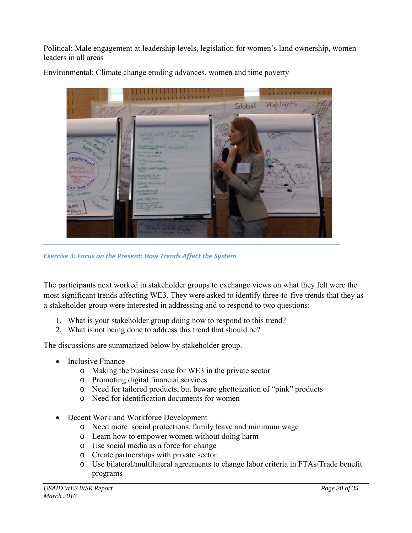Political: Male engagement at leadership levels, legislation for women's land ownership, women leaders in all areas



Environmental: Climate change eroding advances, women and time poverty

*Exercise 3: Focus on the Present: How Trends Affect the System*

The participants next worked in stakeholder groups to exchange views on what they felt were the most significant trends affecting WE3. They were asked to identify three-to-five trends that they as a stakeholder group were interested in addressing and to respond to two questions:

- 1. What is your stakeholder group doing now to respond to this trend?
- 2. What is not being done to address this trend that should be?

The discussions are summarized below by stakeholder group.

- Inclusive Finance
	- o Making the business case for WE3 in the private sector
	- o Promoting digital financial services
	- o Need for tailored products, but beware ghettoization of "pink" products
	- o Need for identification documents for women
- Decent Work and Workforce Development
	- o Need more social protections, family leave and minimum wage
	- o Learn how to empower women without doing harm
	- o Use social media as a force for change
	- o Create partnerships with private sector
	- o Use bilateral/multilateral agreements to change labor criteria in FTAs/Trade benefit programs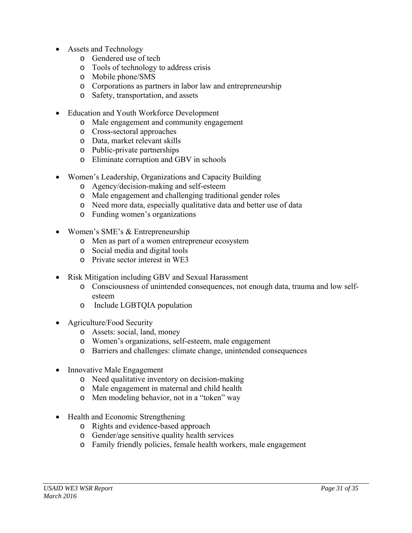- Assets and Technology
	- o Gendered use of tech
	- o Tools of technology to address crisis
	- o Mobile phone/SMS
	- o Corporations as partners in labor law and entrepreneurship
	- o Safety, transportation, and assets
- Education and Youth Workforce Development
	- o Male engagement and community engagement
	- o Cross-sectoral approaches
	- o Data, market relevant skills
	- o Public-private partnerships
	- o Eliminate corruption and GBV in schools
- Women's Leadership, Organizations and Capacity Building
	- o Agency/decision-making and self-esteem
	- o Male engagement and challenging traditional gender roles
	- o Need more data, especially qualitative data and better use of data
	- o Funding women's organizations
- Women's SME's & Entrepreneurship
	- o Men as part of a women entrepreneur ecosystem
	- o Social media and digital tools
	- o Private sector interest in WE3
- Risk Mitigation including GBV and Sexual Harassment
	- o Consciousness of unintended consequences, not enough data, trauma and low selfesteem
	- o Include LGBTQIA population
- Agriculture/Food Security
	- o Assets: social, land, money
	- o Women's organizations, self-esteem, male engagement
	- o Barriers and challenges: climate change, unintended consequences
- Innovative Male Engagement
	- o Need qualitative inventory on decision-making
	- o Male engagement in maternal and child health
	- o Men modeling behavior, not in a "token" way
- Health and Economic Strengthening
	- o Rights and evidence-based approach
	- o Gender/age sensitive quality health services
	- o Family friendly policies, female health workers, male engagement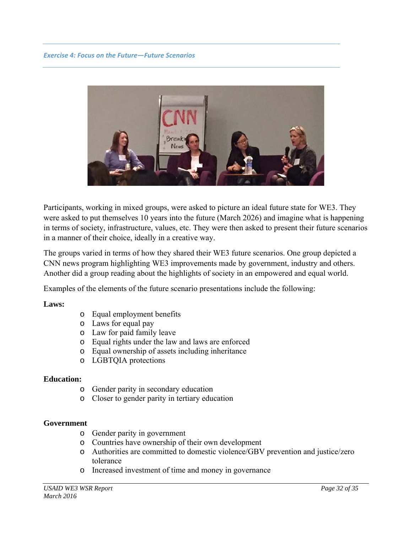

Participants, working in mixed groups, were asked to picture an ideal future state for WE3. They were asked to put themselves 10 years into the future (March 2026) and imagine what is happening in terms of society, infrastructure, values, etc. They were then asked to present their future scenarios in a manner of their choice, ideally in a creative way.

The groups varied in terms of how they shared their WE3 future scenarios. One group depicted a CNN news program highlighting WE3 improvements made by government, industry and others. Another did a group reading about the highlights of society in an empowered and equal world.

Examples of the elements of the future scenario presentations include the following:

### **Laws:**

- o Equal employment benefits
- o Laws for equal pay
- o Law for paid family leave
- o Equal rights under the law and laws are enforced
- o Equal ownership of assets including inheritance
- o LGBTQIA protections

### **Education:**

- o Gender parity in secondary education
- o Closer to gender parity in tertiary education

### **Government**

- o Gender parity in government
- o Countries have ownership of their own development
- o Authorities are committed to domestic violence/GBV prevention and justice/zero tolerance
- o Increased investment of time and money in governance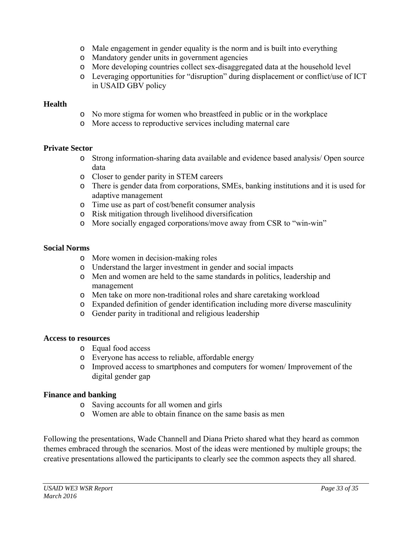- o Male engagement in gender equality is the norm and is built into everything
- o Mandatory gender units in government agencies
- o More developing countries collect sex-disaggregated data at the household level
- o Leveraging opportunities for "disruption" during displacement or conflict/use of ICT in USAID GBV policy

### **Health**

- o No more stigma for women who breastfeed in public or in the workplace
- o More access to reproductive services including maternal care

### **Private Sector**

- o Strong information-sharing data available and evidence based analysis/ Open source data
- o Closer to gender parity in STEM careers
- o There is gender data from corporations, SMEs, banking institutions and it is used for adaptive management
- o Time use as part of cost/benefit consumer analysis
- o Risk mitigation through livelihood diversification
- o More socially engaged corporations/move away from CSR to "win-win"

### **Social Norms**

- o More women in decision-making roles
- o Understand the larger investment in gender and social impacts
- o Men and women are held to the same standards in politics, leadership and management
- o Men take on more non-traditional roles and share caretaking workload
- o Expanded definition of gender identification including more diverse masculinity
- o Gender parity in traditional and religious leadership

### **Access to resources**

- o Equal food access
- o Everyone has access to reliable, affordable energy
- o Improved access to smartphones and computers for women/ Improvement of the digital gender gap

### **Finance and banking**

- o Saving accounts for all women and girls
- o Women are able to obtain finance on the same basis as men

Following the presentations, Wade Channell and Diana Prieto shared what they heard as common themes embraced through the scenarios. Most of the ideas were mentioned by multiple groups; the creative presentations allowed the participants to clearly see the common aspects they all shared.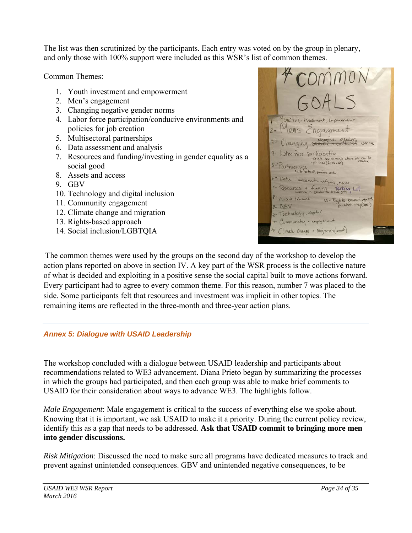The list was then scrutinized by the participants. Each entry was voted on by the group in plenary, and only those with 100% support were included as this WSR's list of common themes.

Common Themes:

- 1. Youth investment and empowerment
- 2. Men's engagement
- 3. Changing negative gender norms
- 4. Labor force participation/conducive environments and policies for job creation
- 5. Multisectoral partnerships
- 6. Data assessment and analysis
- 7. Resources and funding/investing in gender equality as a social good
- 8. Assets and access
- 9. GBV
- 10. Technology and digital inclusion
- 11. Community engagement
- 12. Climate change and migration
- 13. Rights-based approach
- 14. Social inclusion/LGBTQIA



The common themes were used by the groups on the second day of the workshop to develop the action plans reported on above in section IV. A key part of the WSR process is the collective nature of what is decided and exploiting in a positive sense the social capital built to move actions forward. Every participant had to agree to every common theme. For this reason, number 7 was placed to the side. Some participants felt that resources and investment was implicit in other topics. The remaining items are reflected in the three-month and three-year action plans.

# *Annex 5: Dialogue with USAID Leadership*

The workshop concluded with a dialogue between USAID leadership and participants about recommendations related to WE3 advancement. Diana Prieto began by summarizing the processes in which the groups had participated, and then each group was able to make brief comments to USAID for their consideration about ways to advance WE3. The highlights follow.

*Male Engagement*: Male engagement is critical to the success of everything else we spoke about. Knowing that it is important, we ask USAID to make it a priority. During the current policy review, identify this as a gap that needs to be addressed. **Ask that USAID commit to bringing more men into gender discussions.**

*Risk Mitigation*: Discussed the need to make sure all programs have dedicated measures to track and prevent against unintended consequences. GBV and unintended negative consequences, to be